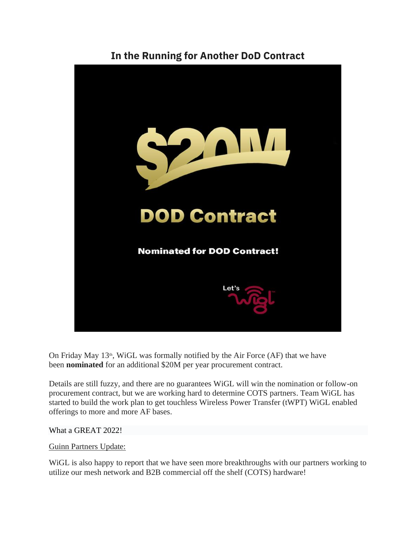

**In the Running for Another DoD Contract**

On Friday May  $13<sup>th</sup>$ , WiGL was formally notified by the Air Force (AF) that we have been **nominated** for an additional \$20M per year procurement contract.

Details are still fuzzy, and there are no guarantees WiGL will win the nomination or follow-on procurement contract, but we are working hard to determine COTS partners. Team WiGL has started to build the work plan to get touchless Wireless Power Transfer (tWPT) WiGL enabled offerings to more and more AF bases.

## What a GREAT 2022!

## Guinn Partners Update:

WiGL is also happy to report that we have seen more breakthroughs with our partners working to utilize our mesh network and B2B commercial off the shelf (COTS) hardware!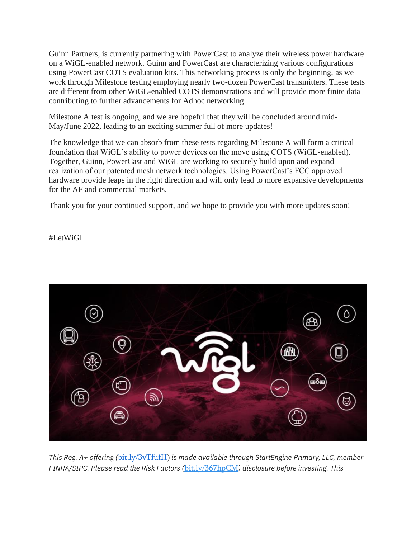Guinn Partners, is currently partnering with PowerCast to analyze their wireless power hardware on a WiGL-enabled network. Guinn and PowerCast are characterizing various configurations using PowerCast COTS evaluation kits. This networking process is only the beginning, as we work through Milestone testing employing nearly two-dozen PowerCast transmitters. These tests are different from other WiGL-enabled COTS demonstrations and will provide more finite data contributing to further advancements for Adhoc networking.

Milestone A test is ongoing, and we are hopeful that they will be concluded around mid-May/June 2022, leading to an exciting summer full of more updates!

The knowledge that we can absorb from these tests regarding Milestone A will form a critical foundation that WiGL's ability to power devices on the move using COTS (WiGL-enabled). Together, Guinn, PowerCast and WiGL are working to securely build upon and expand realization of our patented mesh network technologies. Using PowerCast's FCC approved hardware provide leaps in the right direction and will only lead to more expansive developments for the AF and commercial markets.

Thank you for your continued support, and we hope to provide you with more updates soon!

#LetWiGL



*This Reg. A+ offering (*[bit.ly/3vTfufH](https://bit.ly/3vTfufH)) *is made available through StartEngine Primary, LLC, member FINRA/SIPC. Please read the Risk Factors (*[bit.ly/367hpCM](https://bit.ly/367hpCM)*) disclosure before investing. This*